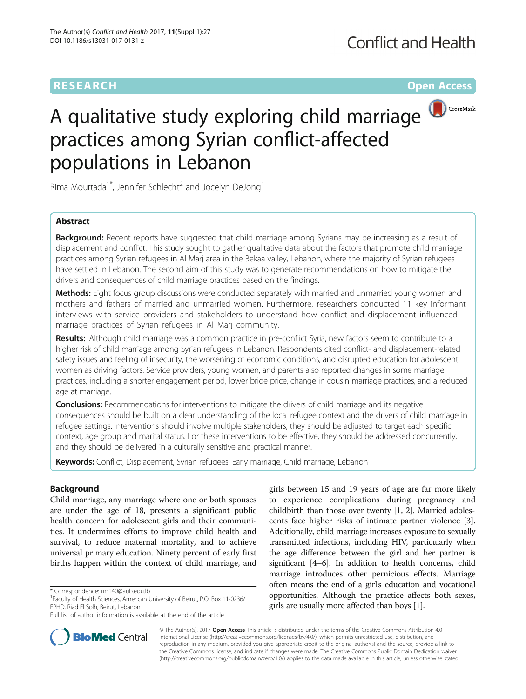## **RESEARCH CHE Open Access**



# A qualitative study exploring child marriage practices among Syrian conflict-affected populations in Lebanon

Rima Mourtada<sup>1\*</sup>, Jennifer Schlecht<sup>2</sup> and Jocelyn DeJong<sup>1</sup>

## Abstract

**Background:** Recent reports have suggested that child marriage among Syrians may be increasing as a result of displacement and conflict. This study sought to gather qualitative data about the factors that promote child marriage practices among Syrian refugees in Al Marj area in the Bekaa valley, Lebanon, where the majority of Syrian refugees have settled in Lebanon. The second aim of this study was to generate recommendations on how to mitigate the drivers and consequences of child marriage practices based on the findings.

**Methods:** Eight focus group discussions were conducted separately with married and unmarried young women and mothers and fathers of married and unmarried women. Furthermore, researchers conducted 11 key informant interviews with service providers and stakeholders to understand how conflict and displacement influenced marriage practices of Syrian refugees in Al Marj community.

Results: Although child marriage was a common practice in pre-conflict Syria, new factors seem to contribute to a higher risk of child marriage among Syrian refugees in Lebanon. Respondents cited conflict- and displacement-related safety issues and feeling of insecurity, the worsening of economic conditions, and disrupted education for adolescent women as driving factors. Service providers, young women, and parents also reported changes in some marriage practices, including a shorter engagement period, lower bride price, change in cousin marriage practices, and a reduced age at marriage.

**Conclusions:** Recommendations for interventions to mitigate the drivers of child marriage and its negative consequences should be built on a clear understanding of the local refugee context and the drivers of child marriage in refugee settings. Interventions should involve multiple stakeholders, they should be adjusted to target each specific context, age group and marital status. For these interventions to be effective, they should be addressed concurrently, and they should be delivered in a culturally sensitive and practical manner.

Keywords: Conflict, Displacement, Syrian refugees, Early marriage, Child marriage, Lebanon

## Background

Child marriage, any marriage where one or both spouses are under the age of 18, presents a significant public health concern for adolescent girls and their communities. It undermines efforts to improve child health and survival, to reduce maternal mortality, and to achieve universal primary education. Ninety percent of early first births happen within the context of child marriage, and girls between 15 and 19 years of age are far more likely to experience complications during pregnancy and childbirth than those over twenty [\[1](#page-11-0), [2\]](#page-11-0). Married adolescents face higher risks of intimate partner violence [\[3](#page-11-0)]. Additionally, child marriage increases exposure to sexually transmitted infections, including HIV, particularly when the age difference between the girl and her partner is significant [\[4](#page-11-0)–[6](#page-11-0)]. In addition to health concerns, child marriage introduces other pernicious effects. Marriage often means the end of a girl's education and vocational opportunities. Although the practice affects both sexes, girls are usually more affected than boys [\[1](#page-11-0)].



© The Author(s). 2017 **Open Access** This article is distributed under the terms of the Creative Commons Attribution 4.0 International License [\(http://creativecommons.org/licenses/by/4.0/](http://creativecommons.org/licenses/by/4.0/)), which permits unrestricted use, distribution, and reproduction in any medium, provided you give appropriate credit to the original author(s) and the source, provide a link to the Creative Commons license, and indicate if changes were made. The Creative Commons Public Domain Dedication waiver [\(http://creativecommons.org/publicdomain/zero/1.0/](http://creativecommons.org/publicdomain/zero/1.0/)) applies to the data made available in this article, unless otherwise stated.

<sup>\*</sup> Correspondence: [rm140@aub.edu.lb](mailto:rm140@aub.edu.lb) <sup>1</sup>

Faculty of Health Sciences, American University of Beirut, P.O. Box 11-0236/ EPHD, Riad El Solh, Beirut, Lebanon

Full list of author information is available at the end of the article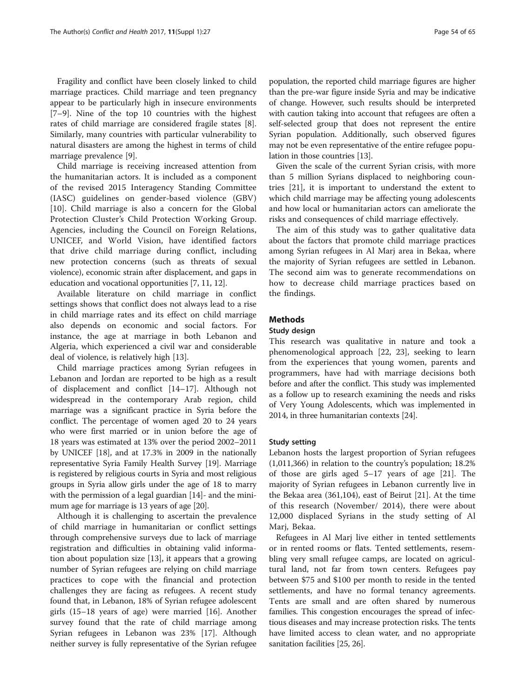Fragility and conflict have been closely linked to child marriage practices. Child marriage and teen pregnancy appear to be particularly high in insecure environments [[7](#page-11-0)–[9\]](#page-11-0). Nine of the top 10 countries with the highest rates of child marriage are considered fragile states [\[8](#page-11-0)]. Similarly, many countries with particular vulnerability to natural disasters are among the highest in terms of child marriage prevalence [\[9](#page-11-0)].

Child marriage is receiving increased attention from the humanitarian actors. It is included as a component of the revised 2015 Interagency Standing Committee (IASC) guidelines on gender-based violence (GBV) [[10\]](#page-11-0). Child marriage is also a concern for the Global Protection Cluster's Child Protection Working Group. Agencies, including the Council on Foreign Relations, UNICEF, and World Vision, have identified factors that drive child marriage during conflict, including new protection concerns (such as threats of sexual violence), economic strain after displacement, and gaps in education and vocational opportunities [[7](#page-11-0), [11, 12](#page-11-0)].

Available literature on child marriage in conflict settings shows that conflict does not always lead to a rise in child marriage rates and its effect on child marriage also depends on economic and social factors. For instance, the age at marriage in both Lebanon and Algeria, which experienced a civil war and considerable deal of violence, is relatively high [[13\]](#page-11-0).

Child marriage practices among Syrian refugees in Lebanon and Jordan are reported to be high as a result of displacement and conflict [\[14](#page-11-0)–[17\]](#page-11-0). Although not widespread in the contemporary Arab region, child marriage was a significant practice in Syria before the conflict. The percentage of women aged 20 to 24 years who were first married or in union before the age of 18 years was estimated at 13% over the period 2002–2011 by UNICEF [[18](#page-11-0)], and at 17.3% in 2009 in the nationally representative Syria Family Health Survey [[19](#page-11-0)]. Marriage is registered by religious courts in Syria and most religious groups in Syria allow girls under the age of 18 to marry with the permission of a legal guardian [\[14\]](#page-11-0)- and the minimum age for marriage is 13 years of age [[20\]](#page-12-0).

Although it is challenging to ascertain the prevalence of child marriage in humanitarian or conflict settings through comprehensive surveys due to lack of marriage registration and difficulties in obtaining valid information about population size [\[13](#page-11-0)], it appears that a growing number of Syrian refugees are relying on child marriage practices to cope with the financial and protection challenges they are facing as refugees. A recent study found that, in Lebanon, 18% of Syrian refugee adolescent girls (15–18 years of age) were married [[16](#page-11-0)]. Another survey found that the rate of child marriage among Syrian refugees in Lebanon was 23% [[17\]](#page-11-0). Although neither survey is fully representative of the Syrian refugee

population, the reported child marriage figures are higher than the pre-war figure inside Syria and may be indicative of change. However, such results should be interpreted with caution taking into account that refugees are often a self-selected group that does not represent the entire Syrian population. Additionally, such observed figures may not be even representative of the entire refugee population in those countries [\[13\]](#page-11-0).

Given the scale of the current Syrian crisis, with more than 5 million Syrians displaced to neighboring countries [\[21](#page-12-0)], it is important to understand the extent to which child marriage may be affecting young adolescents and how local or humanitarian actors can ameliorate the risks and consequences of child marriage effectively.

The aim of this study was to gather qualitative data about the factors that promote child marriage practices among Syrian refugees in Al Marj area in Bekaa, where the majority of Syrian refugees are settled in Lebanon. The second aim was to generate recommendations on how to decrease child marriage practices based on the findings.

## Methods

#### Study design

This research was qualitative in nature and took a phenomenological approach [\[22, 23](#page-12-0)], seeking to learn from the experiences that young women, parents and programmers, have had with marriage decisions both before and after the conflict. This study was implemented as a follow up to research examining the needs and risks of Very Young Adolescents, which was implemented in 2014, in three humanitarian contexts [\[24\]](#page-12-0).

## Study setting

Lebanon hosts the largest proportion of Syrian refugees (1,011,366) in relation to the country's population; 18.2% of those are girls aged 5–17 years of age [\[21](#page-12-0)]. The majority of Syrian refugees in Lebanon currently live in the Bekaa area (361,104), east of Beirut [[21](#page-12-0)]. At the time of this research (November/ 2014), there were about 12,000 displaced Syrians in the study setting of Al Marj, Bekaa.

Refugees in Al Marj live either in tented settlements or in rented rooms or flats. Tented settlements, resembling very small refugee camps, are located on agricultural land, not far from town centers. Refugees pay between \$75 and \$100 per month to reside in the tented settlements, and have no formal tenancy agreements. Tents are small and are often shared by numerous families. This congestion encourages the spread of infectious diseases and may increase protection risks. The tents have limited access to clean water, and no appropriate sanitation facilities [\[25](#page-12-0), [26](#page-12-0)].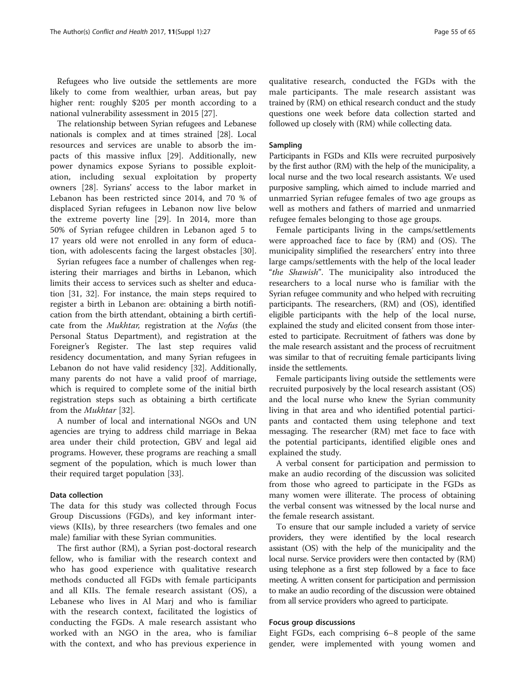Refugees who live outside the settlements are more likely to come from wealthier, urban areas, but pay higher rent: roughly \$205 per month according to a national vulnerability assessment in 2015 [\[27\]](#page-12-0).

The relationship between Syrian refugees and Lebanese nationals is complex and at times strained [[28](#page-12-0)]. Local resources and services are unable to absorb the impacts of this massive influx [\[29](#page-12-0)]. Additionally, new power dynamics expose Syrians to possible exploitation, including sexual exploitation by property owners [[28\]](#page-12-0). Syrians' access to the labor market in Lebanon has been restricted since 2014, and 70 % of displaced Syrian refugees in Lebanon now live below the extreme poverty line [\[29](#page-12-0)]. In 2014, more than 50% of Syrian refugee children in Lebanon aged 5 to 17 years old were not enrolled in any form of education, with adolescents facing the largest obstacles [[30](#page-12-0)].

Syrian refugees face a number of challenges when registering their marriages and births in Lebanon, which limits their access to services such as shelter and education [[31, 32](#page-12-0)]. For instance, the main steps required to register a birth in Lebanon are: obtaining a birth notification from the birth attendant, obtaining a birth certificate from the Mukhtar, registration at the Nofus (the Personal Status Department), and registration at the Foreigner's Register. The last step requires valid residency documentation, and many Syrian refugees in Lebanon do not have valid residency [\[32\]](#page-12-0). Additionally, many parents do not have a valid proof of marriage, which is required to complete some of the initial birth registration steps such as obtaining a birth certificate from the Mukhtar [[32\]](#page-12-0).

A number of local and international NGOs and UN agencies are trying to address child marriage in Bekaa area under their child protection, GBV and legal aid programs. However, these programs are reaching a small segment of the population, which is much lower than their required target population [[33\]](#page-12-0).

#### Data collection

The data for this study was collected through Focus Group Discussions (FGDs), and key informant interviews (KIIs), by three researchers (two females and one male) familiar with these Syrian communities.

The first author (RM), a Syrian post-doctoral research fellow, who is familiar with the research context and who has good experience with qualitative research methods conducted all FGDs with female participants and all KIIs. The female research assistant (OS), a Lebanese who lives in Al Marj and who is familiar with the research context, facilitated the logistics of conducting the FGDs. A male research assistant who worked with an NGO in the area, who is familiar with the context, and who has previous experience in qualitative research, conducted the FGDs with the male participants. The male research assistant was trained by (RM) on ethical research conduct and the study questions one week before data collection started and followed up closely with (RM) while collecting data.

#### Sampling

Participants in FGDs and KIIs were recruited purposively by the first author (RM) with the help of the municipality, a local nurse and the two local research assistants. We used purposive sampling, which aimed to include married and unmarried Syrian refugee females of two age groups as well as mothers and fathers of married and unmarried refugee females belonging to those age groups.

Female participants living in the camps/settlements were approached face to face by (RM) and (OS). The municipality simplified the researchers' entry into three large camps/settlements with the help of the local leader "the Shawish". The municipality also introduced the researchers to a local nurse who is familiar with the Syrian refugee community and who helped with recruiting participants. The researchers, (RM) and (OS), identified eligible participants with the help of the local nurse, explained the study and elicited consent from those interested to participate. Recruitment of fathers was done by the male research assistant and the process of recruitment was similar to that of recruiting female participants living inside the settlements.

Female participants living outside the settlements were recruited purposively by the local research assistant (OS) and the local nurse who knew the Syrian community living in that area and who identified potential participants and contacted them using telephone and text messaging. The researcher (RM) met face to face with the potential participants, identified eligible ones and explained the study.

A verbal consent for participation and permission to make an audio recording of the discussion was solicited from those who agreed to participate in the FGDs as many women were illiterate. The process of obtaining the verbal consent was witnessed by the local nurse and the female research assistant.

To ensure that our sample included a variety of service providers, they were identified by the local research assistant (OS) with the help of the municipality and the local nurse. Service providers were then contacted by (RM) using telephone as a first step followed by a face to face meeting. A written consent for participation and permission to make an audio recording of the discussion were obtained from all service providers who agreed to participate.

## Focus group discussions

Eight FGDs, each comprising 6–8 people of the same gender, were implemented with young women and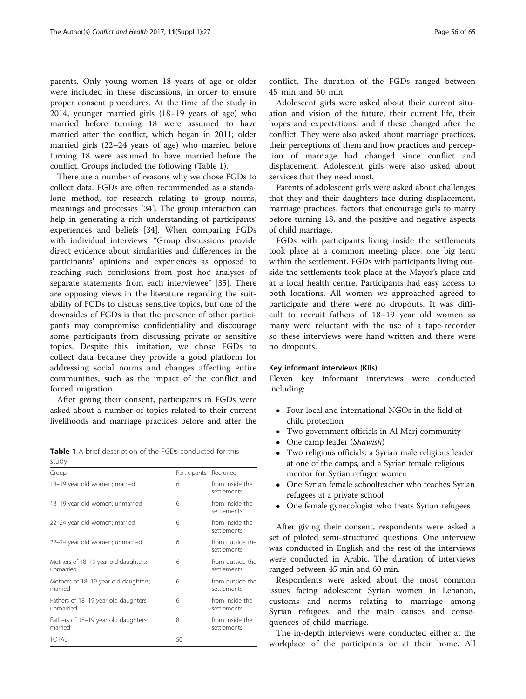parents. Only young women 18 years of age or older were included in these discussions, in order to ensure proper consent procedures. At the time of the study in 2014, younger married girls (18–19 years of age) who married before turning 18 were assumed to have married after the conflict, which began in 2011; older married girls (22–24 years of age) who married before turning 18 were assumed to have married before the conflict. Groups included the following (Table 1).

There are a number of reasons why we chose FGDs to collect data. FGDs are often recommended as a standalone method, for research relating to group norms, meanings and processes [[34\]](#page-12-0). The group interaction can help in generating a rich understanding of participants' experiences and beliefs [[34\]](#page-12-0). When comparing FGDs with individual interviews: "Group discussions provide direct evidence about similarities and differences in the participants' opinions and experiences as opposed to reaching such conclusions from post hoc analyses of separate statements from each interviewee" [[35\]](#page-12-0). There are opposing views in the literature regarding the suitability of FGDs to discuss sensitive topics, but one of the downsides of FGDs is that the presence of other participants may compromise confidentiality and discourage some participants from discussing private or sensitive topics. Despite this limitation, we chose FGDs to collect data because they provide a good platform for addressing social norms and changes affecting entire communities, such as the impact of the conflict and forced migration.

After giving their consent, participants in FGDs were asked about a number of topics related to their current livelihoods and marriage practices before and after the

Table 1 A brief description of the FGDs conducted for this study

| Group                                             | Participants | Recruited                       |
|---------------------------------------------------|--------------|---------------------------------|
| 18-19 year old women; married                     | 6            | from inside the<br>settlements  |
| 18-19 year old women; unmarried                   | 6            | from inside the<br>settlements  |
| 22-24 year old women; married                     | 6            | from inside the<br>settlements  |
| 22-24 year old women; unmarried                   | 6            | from outside the<br>settlements |
| Mothers of 18-19 year old daughters;<br>unmarried | 6            | from outside the<br>settlements |
| Mothers of 18-19 year old daughters;<br>married   | 6            | from outside the<br>settlements |
| Fathers of 18-19 year old daughters;<br>unmarried | 6            | from inside the<br>settlements  |
| Fathers of 18-19 year old daughters;<br>married   | 8            | from inside the<br>settlements  |
| TOTAI                                             | 50           |                                 |

conflict. The duration of the FGDs ranged between 45 min and 60 min.

Adolescent girls were asked about their current situation and vision of the future, their current life, their hopes and expectations, and if these changed after the conflict. They were also asked about marriage practices, their perceptions of them and how practices and perception of marriage had changed since conflict and displacement. Adolescent girls were also asked about services that they need most.

Parents of adolescent girls were asked about challenges that they and their daughters face during displacement, marriage practices, factors that encourage girls to marry before turning 18, and the positive and negative aspects of child marriage.

FGDs with participants living inside the settlements took place at a common meeting place, one big tent, within the settlement. FGDs with participants living outside the settlements took place at the Mayor's place and at a local health centre. Participants had easy access to both locations. All women we approached agreed to participate and there were no dropouts. It was difficult to recruit fathers of 18–19 year old women as many were reluctant with the use of a tape-recorder so these interviews were hand written and there were no dropouts.

#### Key informant interviews (KIIs)

Eleven key informant interviews were conducted including:

- Four local and international NGOs in the field of child protection
- Two government officials in Al Marj community
- One camp leader (Shawish)
- Two religious officials: a Syrian male religious leader at one of the camps, and a Syrian female religious mentor for Syrian refugee women
- One Syrian female schoolteacher who teaches Syrian refugees at a private school
- One female gynecologist who treats Syrian refugees

After giving their consent, respondents were asked a set of piloted semi-structured questions. One interview was conducted in English and the rest of the interviews were conducted in Arabic. The duration of interviews ranged between 45 min and 60 min.

Respondents were asked about the most common issues facing adolescent Syrian women in Lebanon, customs and norms relating to marriage among Syrian refugees, and the main causes and consequences of child marriage.

The in-depth interviews were conducted either at the workplace of the participants or at their home. All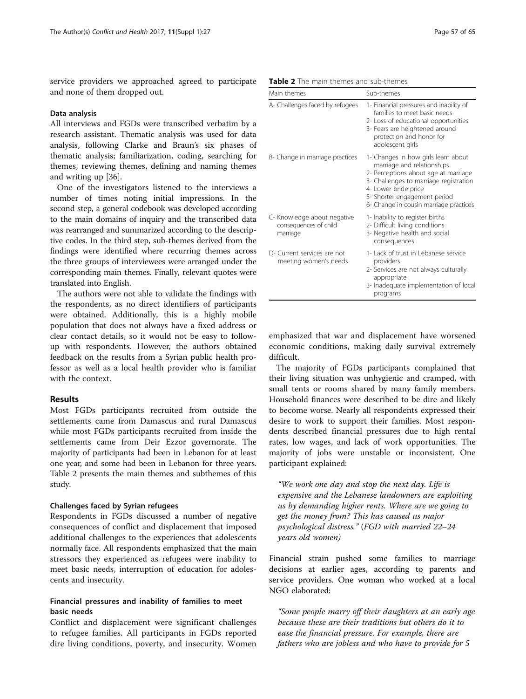service providers we approached agreed to participate and none of them dropped out.

#### Data analysis

All interviews and FGDs were transcribed verbatim by a research assistant. Thematic analysis was used for data analysis, following Clarke and Braun's six phases of thematic analysis; familiarization, coding, searching for themes, reviewing themes, defining and naming themes and writing up [\[36\]](#page-12-0).

One of the investigators listened to the interviews a number of times noting initial impressions. In the second step, a general codebook was developed according to the main domains of inquiry and the transcribed data was rearranged and summarized according to the descriptive codes. In the third step, sub-themes derived from the findings were identified where recurring themes across the three groups of interviewees were arranged under the corresponding main themes. Finally, relevant quotes were translated into English.

The authors were not able to validate the findings with the respondents, as no direct identifiers of participants were obtained. Additionally, this is a highly mobile population that does not always have a fixed address or clear contact details, so it would not be easy to followup with respondents. However, the authors obtained feedback on the results from a Syrian public health professor as well as a local health provider who is familiar with the context.

## Results

Most FGDs participants recruited from outside the settlements came from Damascus and rural Damascus while most FGDs participants recruited from inside the settlements came from Deir Ezzor governorate. The majority of participants had been in Lebanon for at least one year, and some had been in Lebanon for three years. Table 2 presents the main themes and subthemes of this study.

### Challenges faced by Syrian refugees

Respondents in FGDs discussed a number of negative consequences of conflict and displacement that imposed additional challenges to the experiences that adolescents normally face. All respondents emphasized that the main stressors they experienced as refugees were inability to meet basic needs, interruption of education for adolescents and insecurity.

## Financial pressures and inability of families to meet basic needs

Conflict and displacement were significant challenges to refugee families. All participants in FGDs reported dire living conditions, poverty, and insecurity. Women

| Table 2 The main themes and sub-themes |  |
|----------------------------------------|--|
|----------------------------------------|--|

| Main themes                                                      | Sub-themes                                                                                                                                                                                                                                            |
|------------------------------------------------------------------|-------------------------------------------------------------------------------------------------------------------------------------------------------------------------------------------------------------------------------------------------------|
| A- Challenges faced by refugees                                  | 1- Financial pressures and inability of<br>families to meet basic needs<br>2- Loss of educational opportunities<br>3- Fears are heightened around<br>protection and honor for<br>adolescent girls                                                     |
| B- Change in marriage practices                                  | 1- Changes in how girls learn about<br>marriage and relationships<br>2- Perceptions about age at marriage<br>3- Challenges to marriage registration<br>4- Lower bride price<br>5- Shorter engagement period<br>6- Change in cousin marriage practices |
| C- Knowledge about negative<br>consequences of child<br>marriage | 1- Inability to register births<br>2- Difficult living conditions<br>3- Negative health and social<br>consequences                                                                                                                                    |
| D- Current services are not<br>meeting women's needs             | 1- Lack of trust in Lebanese service<br>providers<br>2- Services are not always culturally<br>appropriate<br>3- Inadequate implementation of local<br>programs                                                                                        |

emphasized that war and displacement have worsened economic conditions, making daily survival extremely difficult.

The majority of FGDs participants complained that their living situation was unhygienic and cramped, with small tents or rooms shared by many family members. Household finances were described to be dire and likely to become worse. Nearly all respondents expressed their desire to work to support their families. Most respondents described financial pressures due to high rental rates, low wages, and lack of work opportunities. The majority of jobs were unstable or inconsistent. One participant explained:

"We work one day and stop the next day. Life is expensive and the Lebanese landowners are exploiting us by demanding higher rents. Where are we going to get the money from? This has caused us major psychological distress." (FGD with married 22–24 years old women)

Financial strain pushed some families to marriage decisions at earlier ages, according to parents and service providers. One woman who worked at a local NGO elaborated:

"Some people marry off their daughters at an early age because these are their traditions but others do it to ease the financial pressure. For example, there are fathers who are jobless and who have to provide for 5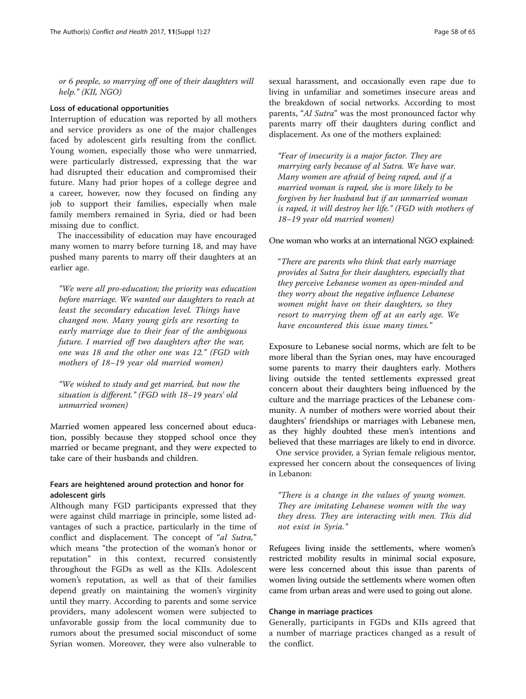or 6 people, so marrying off one of their daughters will help." (KII, NGO)

#### Loss of educational opportunities

Interruption of education was reported by all mothers and service providers as one of the major challenges faced by adolescent girls resulting from the conflict. Young women, especially those who were unmarried, were particularly distressed, expressing that the war had disrupted their education and compromised their future. Many had prior hopes of a college degree and a career, however, now they focused on finding any job to support their families, especially when male family members remained in Syria, died or had been missing due to conflict.

The inaccessibility of education may have encouraged many women to marry before turning 18, and may have pushed many parents to marry off their daughters at an earlier age.

"We were all pro-education; the priority was education before marriage. We wanted our daughters to reach at least the secondary education level. Things have changed now. Many young girls are resorting to early marriage due to their fear of the ambiguous future. I married off two daughters after the war, one was 18 and the other one was 12." (FGD with mothers of 18–19 year old married women)

"We wished to study and get married, but now the situation is different." (FGD with 18–19 years' old unmarried women)

Married women appeared less concerned about education, possibly because they stopped school once they married or became pregnant, and they were expected to take care of their husbands and children.

## Fears are heightened around protection and honor for adolescent girls

Although many FGD participants expressed that they were against child marriage in principle, some listed advantages of such a practice, particularly in the time of conflict and displacement. The concept of "al Sutra," which means "the protection of the woman's honor or reputation" in this context, recurred consistently throughout the FGDs as well as the KIIs. Adolescent women's reputation, as well as that of their families depend greatly on maintaining the women's virginity until they marry. According to parents and some service providers, many adolescent women were subjected to unfavorable gossip from the local community due to rumors about the presumed social misconduct of some Syrian women. Moreover, they were also vulnerable to

living in unfamiliar and sometimes insecure areas and the breakdown of social networks. According to most parents, "Al Sutra" was the most pronounced factor why parents marry off their daughters during conflict and displacement. As one of the mothers explained:

"Fear of insecurity is a major factor. They are marrying early because of al Sutra. We have war. Many women are afraid of being raped, and if a married woman is raped, she is more likely to be forgiven by her husband but if an unmarried woman is raped, it will destroy her life." (FGD with mothers of 18–19 year old married women)

## One woman who works at an international NGO explained:

"There are parents who think that early marriage provides al Sutra for their daughters, especially that they perceive Lebanese women as open-minded and they worry about the negative influence Lebanese women might have on their daughters, so they resort to marrying them off at an early age. We have encountered this issue many times."

Exposure to Lebanese social norms, which are felt to be more liberal than the Syrian ones, may have encouraged some parents to marry their daughters early. Mothers living outside the tented settlements expressed great concern about their daughters being influenced by the culture and the marriage practices of the Lebanese community. A number of mothers were worried about their daughters' friendships or marriages with Lebanese men, as they highly doubted these men's intentions and believed that these marriages are likely to end in divorce.

One service provider, a Syrian female religious mentor, expressed her concern about the consequences of living in Lebanon:

"There is a change in the values of young women. They are imitating Lebanese women with the way they dress. They are interacting with men. This did not exist in Syria."

Refugees living inside the settlements, where women's restricted mobility results in minimal social exposure, were less concerned about this issue than parents of women living outside the settlements where women often came from urban areas and were used to going out alone.

## Change in marriage practices

Generally, participants in FGDs and KIIs agreed that a number of marriage practices changed as a result of the conflict.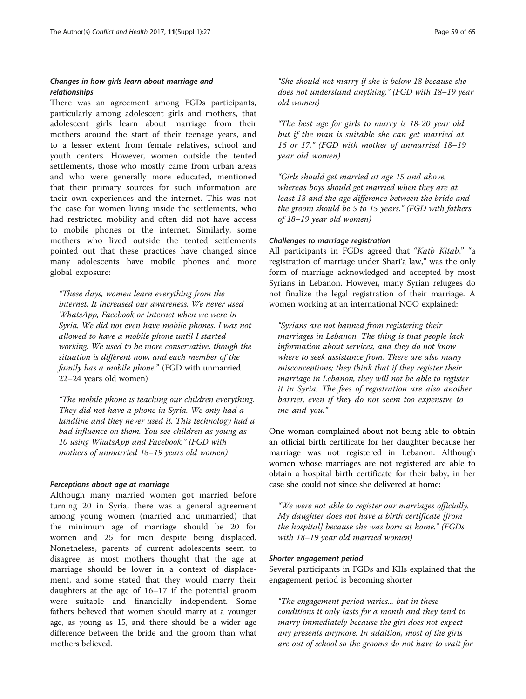## Changes in how girls learn about marriage and relationships

There was an agreement among FGDs participants, particularly among adolescent girls and mothers, that adolescent girls learn about marriage from their mothers around the start of their teenage years, and to a lesser extent from female relatives, school and youth centers. However, women outside the tented settlements, those who mostly came from urban areas and who were generally more educated, mentioned that their primary sources for such information are their own experiences and the internet. This was not the case for women living inside the settlements, who had restricted mobility and often did not have access to mobile phones or the internet. Similarly, some mothers who lived outside the tented settlements pointed out that these practices have changed since many adolescents have mobile phones and more global exposure:

"These days, women learn everything from the internet. It increased our awareness. We never used WhatsApp, Facebook or internet when we were in Syria. We did not even have mobile phones. I was not allowed to have a mobile phone until I started working. We used to be more conservative, though the situation is different now, and each member of the family has a mobile phone." (FGD with unmarried 22–24 years old women)

"The mobile phone is teaching our children everything. They did not have a phone in Syria. We only had a landline and they never used it. This technology had a bad influence on them. You see children as young as 10 using WhatsApp and Facebook." (FGD with mothers of unmarried 18–19 years old women)

## Perceptions about age at marriage

Although many married women got married before turning 20 in Syria, there was a general agreement among young women (married and unmarried) that the minimum age of marriage should be 20 for women and 25 for men despite being displaced. Nonetheless, parents of current adolescents seem to disagree, as most mothers thought that the age at marriage should be lower in a context of displacement, and some stated that they would marry their daughters at the age of 16–17 if the potential groom were suitable and financially independent. Some fathers believed that women should marry at a younger age, as young as 15, and there should be a wider age difference between the bride and the groom than what mothers believed.

"She should not marry if she is below 18 because she does not understand anything." (FGD with 18–19 year old women)

"The best age for girls to marry is 18-20 year old but if the man is suitable she can get married at 16 or 17." (FGD with mother of unmarried 18–19 year old women)

"Girls should get married at age 15 and above, whereas boys should get married when they are at least 18 and the age difference between the bride and the groom should be 5 to 15 years." (FGD with fathers of 18–19 year old women)

## Challenges to marriage registration

All participants in FGDs agreed that "Katb Kitab," "a registration of marriage under Shari'a law," was the only form of marriage acknowledged and accepted by most Syrians in Lebanon. However, many Syrian refugees do not finalize the legal registration of their marriage. A women working at an international NGO explained:

"Syrians are not banned from registering their marriages in Lebanon. The thing is that people lack information about services, and they do not know where to seek assistance from. There are also many misconceptions; they think that if they register their marriage in Lebanon, they will not be able to register it in Syria. The fees of registration are also another barrier, even if they do not seem too expensive to me and you."

One woman complained about not being able to obtain an official birth certificate for her daughter because her marriage was not registered in Lebanon. Although women whose marriages are not registered are able to obtain a hospital birth certificate for their baby, in her case she could not since she delivered at home:

"We were not able to register our marriages officially. My daughter does not have a birth certificate [from the hospital] because she was born at home." (FGDs with 18–19 year old married women)

#### Shorter engagement period

Several participants in FGDs and KIIs explained that the engagement period is becoming shorter

"The engagement period varies... but in these conditions it only lasts for a month and they tend to marry immediately because the girl does not expect any presents anymore. In addition, most of the girls are out of school so the grooms do not have to wait for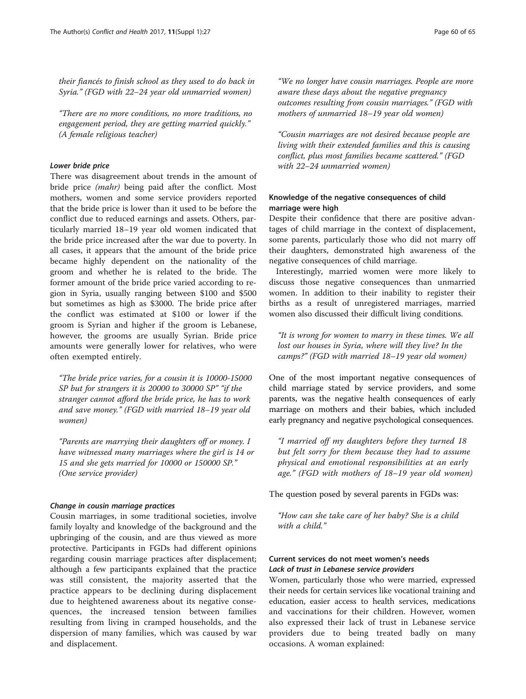their fiancés to finish school as they used to do back in Syria." (FGD with 22–24 year old unmarried women)

"There are no more conditions, no more traditions, no engagement period, they are getting married quickly." (A female religious teacher)

#### Lower bride price

There was disagreement about trends in the amount of bride price (mahr) being paid after the conflict. Most mothers, women and some service providers reported that the bride price is lower than it used to be before the conflict due to reduced earnings and assets. Others, particularly married 18–19 year old women indicated that the bride price increased after the war due to poverty. In all cases, it appears that the amount of the bride price became highly dependent on the nationality of the groom and whether he is related to the bride. The former amount of the bride price varied according to region in Syria, usually ranging between \$100 and \$500 but sometimes as high as \$3000. The bride price after the conflict was estimated at \$100 or lower if the groom is Syrian and higher if the groom is Lebanese, however, the grooms are usually Syrian. Bride price amounts were generally lower for relatives, who were often exempted entirely.

"The bride price varies, for a cousin it is 10000-15000 SP but for strangers it is 20000 to 30000 SP" "if the stranger cannot afford the bride price, he has to work and save money." (FGD with married 18–19 year old women)

"Parents are marrying their daughters off or money. I have witnessed many marriages where the girl is 14 or 15 and she gets married for 10000 or 150000 SP." (One service provider)

## Change in cousin marriage practices

Cousin marriages, in some traditional societies, involve family loyalty and knowledge of the background and the upbringing of the cousin, and are thus viewed as more protective. Participants in FGDs had different opinions regarding cousin marriage practices after displacement; although a few participants explained that the practice was still consistent, the majority asserted that the practice appears to be declining during displacement due to heightened awareness about its negative consequences, the increased tension between families resulting from living in cramped households, and the dispersion of many families, which was caused by war and displacement.

"We no longer have cousin marriages. People are more aware these days about the negative pregnancy outcomes resulting from cousin marriages." (FGD with mothers of unmarried 18–19 year old women)

"Cousin marriages are not desired because people are living with their extended families and this is causing conflict, plus most families became scattered." (FGD with 22–24 unmarried women)

## Knowledge of the negative consequences of child marriage were high

Despite their confidence that there are positive advantages of child marriage in the context of displacement, some parents, particularly those who did not marry off their daughters, demonstrated high awareness of the negative consequences of child marriage.

Interestingly, married women were more likely to discuss those negative consequences than unmarried women. In addition to their inability to register their births as a result of unregistered marriages, married women also discussed their difficult living conditions.

"It is wrong for women to marry in these times. We all lost our houses in Syria, where will they live? In the camps?" (FGD with married 18–19 year old women)

One of the most important negative consequences of child marriage stated by service providers, and some parents, was the negative health consequences of early marriage on mothers and their babies, which included early pregnancy and negative psychological consequences.

"I married off my daughters before they turned 18 but felt sorry for them because they had to assume physical and emotional responsibilities at an early age." (FGD with mothers of 18–19 year old women)

The question posed by several parents in FGDs was:

"How can she take care of her baby? She is a child with a child."

## Current services do not meet women's needs Lack of trust in Lebanese service providers

Women, particularly those who were married, expressed their needs for certain services like vocational training and education, easier access to health services, medications and vaccinations for their children. However, women also expressed their lack of trust in Lebanese service providers due to being treated badly on many occasions. A woman explained: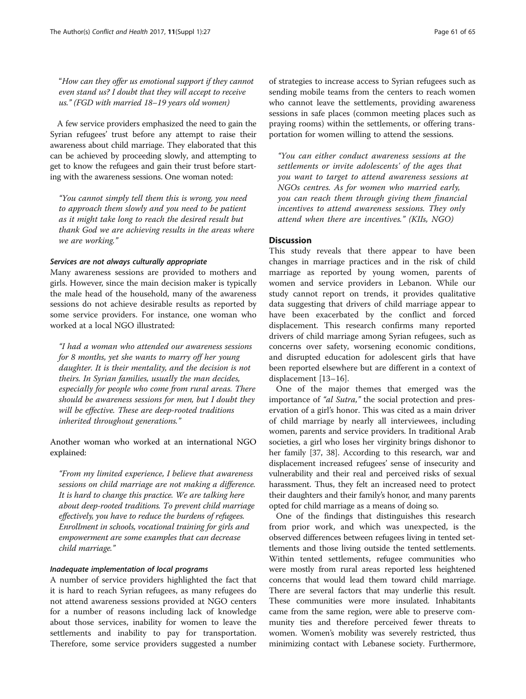"How can they offer us emotional support if they cannot even stand us? I doubt that they will accept to receive us." (FGD with married 18–19 years old women)

A few service providers emphasized the need to gain the Syrian refugees' trust before any attempt to raise their awareness about child marriage. They elaborated that this can be achieved by proceeding slowly, and attempting to get to know the refugees and gain their trust before starting with the awareness sessions. One woman noted:

"You cannot simply tell them this is wrong, you need to approach them slowly and you need to be patient as it might take long to reach the desired result but thank God we are achieving results in the areas where we are working."

#### Services are not always culturally appropriate

Many awareness sessions are provided to mothers and girls. However, since the main decision maker is typically the male head of the household, many of the awareness sessions do not achieve desirable results as reported by some service providers. For instance, one woman who worked at a local NGO illustrated:

"I had a woman who attended our awareness sessions for 8 months, yet she wants to marry off her young daughter. It is their mentality, and the decision is not theirs. In Syrian families, usually the man decides, especially for people who come from rural areas. There should be awareness sessions for men, but I doubt they will be effective. These are deep-rooted traditions inherited throughout generations."

Another woman who worked at an international NGO explained:

"From my limited experience, I believe that awareness sessions on child marriage are not making a difference. It is hard to change this practice. We are talking here about deep-rooted traditions. To prevent child marriage effectively, you have to reduce the burdens of refugees. Enrollment in schools, vocational training for girls and empowerment are some examples that can decrease child marriage."

#### Inadequate implementation of local programs

A number of service providers highlighted the fact that it is hard to reach Syrian refugees, as many refugees do not attend awareness sessions provided at NGO centers for a number of reasons including lack of knowledge about those services, inability for women to leave the settlements and inability to pay for transportation. Therefore, some service providers suggested a number of strategies to increase access to Syrian refugees such as sending mobile teams from the centers to reach women who cannot leave the settlements, providing awareness sessions in safe places (common meeting places such as praying rooms) within the settlements, or offering transportation for women willing to attend the sessions.

"You can either conduct awareness sessions at the settlements or invite adolescents' of the ages that you want to target to attend awareness sessions at NGOs centres. As for women who married early, you can reach them through giving them financial incentives to attend awareness sessions. They only attend when there are incentives." (KIIs, NGO)

## **Discussion**

This study reveals that there appear to have been changes in marriage practices and in the risk of child marriage as reported by young women, parents of women and service providers in Lebanon. While our study cannot report on trends, it provides qualitative data suggesting that drivers of child marriage appear to have been exacerbated by the conflict and forced displacement. This research confirms many reported drivers of child marriage among Syrian refugees, such as concerns over safety, worsening economic conditions, and disrupted education for adolescent girls that have been reported elsewhere but are different in a context of displacement [[13](#page-11-0)–[16](#page-11-0)].

One of the major themes that emerged was the importance of "al Sutra," the social protection and preservation of a girl's honor. This was cited as a main driver of child marriage by nearly all interviewees, including women, parents and service providers. In traditional Arab societies, a girl who loses her virginity brings dishonor to her family [[37](#page-12-0), [38](#page-12-0)]. According to this research, war and displacement increased refugees' sense of insecurity and vulnerability and their real and perceived risks of sexual harassment. Thus, they felt an increased need to protect their daughters and their family's honor, and many parents opted for child marriage as a means of doing so.

One of the findings that distinguishes this research from prior work, and which was unexpected, is the observed differences between refugees living in tented settlements and those living outside the tented settlements. Within tented settlements, refugee communities who were mostly from rural areas reported less heightened concerns that would lead them toward child marriage. There are several factors that may underlie this result. These communities were more insulated. Inhabitants came from the same region, were able to preserve community ties and therefore perceived fewer threats to women. Women's mobility was severely restricted, thus minimizing contact with Lebanese society. Furthermore,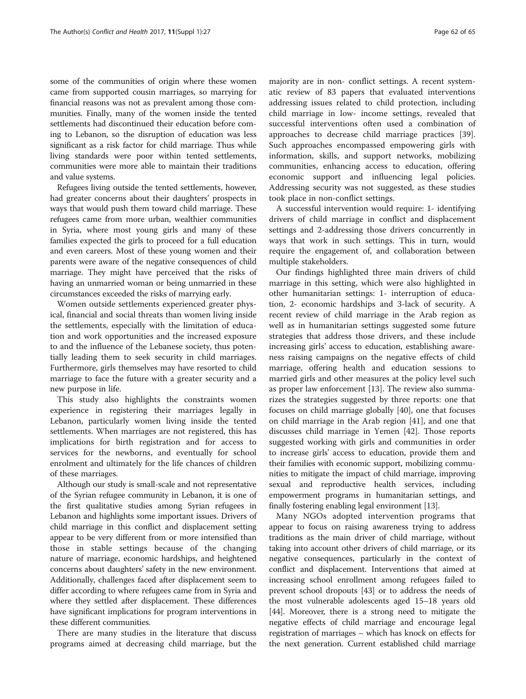some of the communities of origin where these women came from supported cousin marriages, so marrying for financial reasons was not as prevalent among those communities. Finally, many of the women inside the tented settlements had discontinued their education before coming to Lebanon, so the disruption of education was less significant as a risk factor for child marriage. Thus while living standards were poor within tented settlements, communities were more able to maintain their traditions and value systems.

Refugees living outside the tented settlements, however, had greater concerns about their daughters' prospects in ways that would push them toward child marriage. These refugees came from more urban, wealthier communities in Syria, where most young girls and many of these families expected the girls to proceed for a full education and even careers. Most of these young women and their parents were aware of the negative consequences of child marriage. They might have perceived that the risks of having an unmarried woman or being unmarried in these circumstances exceeded the risks of marrying early.

Women outside settlements experienced greater physical, financial and social threats than women living inside the settlements, especially with the limitation of education and work opportunities and the increased exposure to and the influence of the Lebanese society, thus potentially leading them to seek security in child marriages. Furthermore, girls themselves may have resorted to child marriage to face the future with a greater security and a new purpose in life.

This study also highlights the constraints women experience in registering their marriages legally in Lebanon, particularly women living inside the tented settlements. When marriages are not registered, this has implications for birth registration and for access to services for the newborns, and eventually for school enrolment and ultimately for the life chances of children of these marriages.

Although our study is small-scale and not representative of the Syrian refugee community in Lebanon, it is one of the first qualitative studies among Syrian refugees in Lebanon and highlights some important issues. Drivers of child marriage in this conflict and displacement setting appear to be very different from or more intensified than those in stable settings because of the changing nature of marriage, economic hardships, and heightened concerns about daughters' safety in the new environment. Additionally, challenges faced after displacement seem to differ according to where refugees came from in Syria and where they settled after displacement. These differences have significant implications for program interventions in these different communities.

There are many studies in the literature that discuss programs aimed at decreasing child marriage, but the

majority are in non- conflict settings. A recent systematic review of 83 papers that evaluated interventions addressing issues related to child protection, including child marriage in low- income settings, revealed that successful interventions often used a combination of approaches to decrease child marriage practices [\[39](#page-12-0)]. Such approaches encompassed empowering girls with information, skills, and support networks, mobilizing communities, enhancing access to education, offering economic support and influencing legal policies. Addressing security was not suggested, as these studies took place in non-conflict settings.

A successful intervention would require: 1- identifying drivers of child marriage in conflict and displacement settings and 2-addressing those drivers concurrently in ways that work in such settings. This in turn, would require the engagement of, and collaboration between multiple stakeholders.

Our findings highlighted three main drivers of child marriage in this setting, which were also highlighted in other humanitarian settings: 1- interruption of education, 2- economic hardships and 3-lack of security. A recent review of child marriage in the Arab region as well as in humanitarian settings suggested some future strategies that address those drivers, and these include increasing girls' access to education, establishing awareness raising campaigns on the negative effects of child marriage, offering health and education sessions to married girls and other measures at the policy level such as proper law enforcement [\[13\]](#page-11-0). The review also summarizes the strategies suggested by three reports: one that focuses on child marriage globally [[40](#page-12-0)], one that focuses on child marriage in the Arab region [[41](#page-12-0)], and one that discusses child marriage in Yemen [\[42\]](#page-12-0). Those reports suggested working with girls and communities in order to increase girls' access to education, provide them and their families with economic support, mobilizing communities to mitigate the impact of child marriage, improving sexual and reproductive health services, including empowerment programs in humanitarian settings, and finally fostering enabling legal environment [\[13\]](#page-11-0).

Many NGOs adopted intervention programs that appear to focus on raising awareness trying to address traditions as the main driver of child marriage, without taking into account other drivers of child marriage, or its negative consequences, particularly in the context of conflict and displacement. Interventions that aimed at increasing school enrollment among refugees failed to prevent school dropouts [\[43\]](#page-12-0) or to address the needs of the most vulnerable adolescents aged 15–18 years old [[44](#page-12-0)]. Moreover, there is a strong need to mitigate the negative effects of child marriage and encourage legal registration of marriages – which has knock on effects for the next generation. Current established child marriage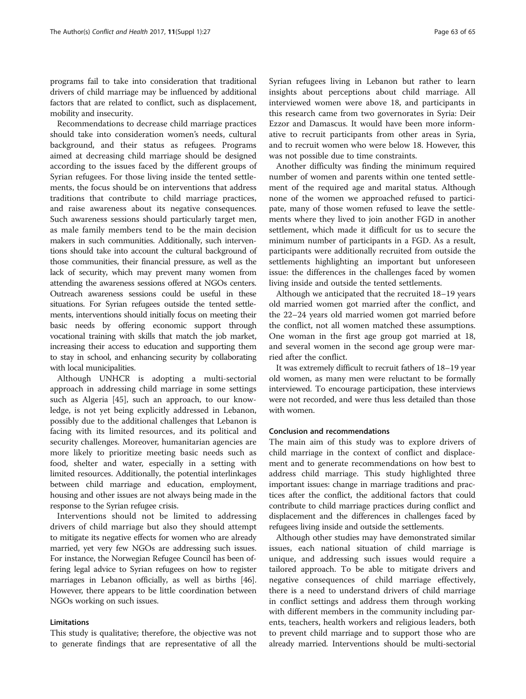programs fail to take into consideration that traditional drivers of child marriage may be influenced by additional factors that are related to conflict, such as displacement, mobility and insecurity.

Recommendations to decrease child marriage practices should take into consideration women's needs, cultural background, and their status as refugees. Programs aimed at decreasing child marriage should be designed according to the issues faced by the different groups of Syrian refugees. For those living inside the tented settlements, the focus should be on interventions that address traditions that contribute to child marriage practices, and raise awareness about its negative consequences. Such awareness sessions should particularly target men, as male family members tend to be the main decision makers in such communities. Additionally, such interventions should take into account the cultural background of those communities, their financial pressure, as well as the lack of security, which may prevent many women from attending the awareness sessions offered at NGOs centers. Outreach awareness sessions could be useful in these situations. For Syrian refugees outside the tented settlements, interventions should initially focus on meeting their basic needs by offering economic support through vocational training with skills that match the job market, increasing their access to education and supporting them to stay in school, and enhancing security by collaborating with local municipalities.

Although UNHCR is adopting a multi-sectorial approach in addressing child marriage in some settings such as Algeria [\[45](#page-12-0)], such an approach, to our knowledge, is not yet being explicitly addressed in Lebanon, possibly due to the additional challenges that Lebanon is facing with its limited resources, and its political and security challenges. Moreover, humanitarian agencies are more likely to prioritize meeting basic needs such as food, shelter and water, especially in a setting with limited resources. Additionally, the potential interlinkages between child marriage and education, employment, housing and other issues are not always being made in the response to the Syrian refugee crisis.

Interventions should not be limited to addressing drivers of child marriage but also they should attempt to mitigate its negative effects for women who are already married, yet very few NGOs are addressing such issues. For instance, the Norwegian Refugee Council has been offering legal advice to Syrian refugees on how to register marriages in Lebanon officially, as well as births [[46](#page-12-0)]. However, there appears to be little coordination between NGOs working on such issues.

## Limitations

This study is qualitative; therefore, the objective was not to generate findings that are representative of all the

Syrian refugees living in Lebanon but rather to learn insights about perceptions about child marriage. All interviewed women were above 18, and participants in this research came from two governorates in Syria: Deir Ezzor and Damascus. It would have been more informative to recruit participants from other areas in Syria, and to recruit women who were below 18. However, this was not possible due to time constraints.

Another difficulty was finding the minimum required number of women and parents within one tented settlement of the required age and marital status. Although none of the women we approached refused to participate, many of those women refused to leave the settlements where they lived to join another FGD in another settlement, which made it difficult for us to secure the minimum number of participants in a FGD. As a result, participants were additionally recruited from outside the settlements highlighting an important but unforeseen issue: the differences in the challenges faced by women living inside and outside the tented settlements.

Although we anticipated that the recruited 18–19 years old married women got married after the conflict, and the 22–24 years old married women got married before the conflict, not all women matched these assumptions. One woman in the first age group got married at 18, and several women in the second age group were married after the conflict.

It was extremely difficult to recruit fathers of 18–19 year old women, as many men were reluctant to be formally interviewed. To encourage participation, these interviews were not recorded, and were thus less detailed than those with women.

#### Conclusion and recommendations

The main aim of this study was to explore drivers of child marriage in the context of conflict and displacement and to generate recommendations on how best to address child marriage. This study highlighted three important issues: change in marriage traditions and practices after the conflict, the additional factors that could contribute to child marriage practices during conflict and displacement and the differences in challenges faced by refugees living inside and outside the settlements.

Although other studies may have demonstrated similar issues, each national situation of child marriage is unique, and addressing such issues would require a tailored approach. To be able to mitigate drivers and negative consequences of child marriage effectively, there is a need to understand drivers of child marriage in conflict settings and address them through working with different members in the community including parents, teachers, health workers and religious leaders, both to prevent child marriage and to support those who are already married. Interventions should be multi-sectorial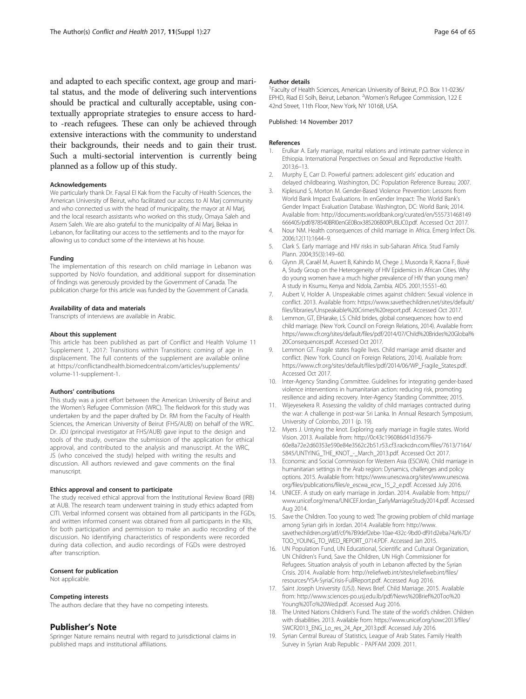<span id="page-11-0"></span>and adapted to each specific context, age group and marital status, and the mode of delivering such interventions should be practical and culturally acceptable, using contextually appropriate strategies to ensure access to hardto -reach refugees. These can only be achieved through extensive interactions with the community to understand their backgrounds, their needs and to gain their trust. Such a multi-sectorial intervention is currently being planned as a follow up of this study.

#### Acknowledgements

We particularly thank Dr. Faysal El Kak from the Faculty of Health Sciences, the American University of Beirut, who facilitated our access to Al Marj community and who connected us with the head of municipality, the mayor at Al Marj, and the local research assistants who worked on this study, Omaya Saleh and Assem Saleh. We are also grateful to the municipality of Al Marj, Bekaa in Lebanon, for facilitating our access to the settlements and to the mayor for allowing us to conduct some of the interviews at his house.

#### Funding

The implementation of this research on child marriage in Lebanon was supported by NoVo foundation, and additional support for dissemination of findings was generously provided by the Government of Canada. The publication charge for this article was funded by the Government of Canada.

#### Availability of data and materials

Transcripts of interviews are available in Arabic.

#### About this supplement

This article has been published as part of Conflict and Health Volume 11 Supplement 1, 2017: Transitions within Transitions: coming of age in displacement. The full contents of the supplement are available online at https://conflictandhealth.biomedcentral.com/articles/supplements/ volume-11-supplement-1.

#### Authors' contributions

This study was a joint effort between the American University of Beirut and the Women's Refugee Commission (WRC). The fieldwork for this study was undertaken by and the paper drafted by Dr. RM from the Faculty of Health Sciences, the American University of Beirut (FHS/AUB) on behalf of the WRC. Dr. JDJ (principal investigator at FHS/AUB) gave input to the design and tools of the study, oversaw the submission of the application for ethical approval, and contributed to the analysis and manuscript. At the WRC, JS (who conceived the study) helped with writing the results and discussion. All authors reviewed and gave comments on the final manuscript.

#### Ethics approval and consent to participate

The study received ethical approval from the Institutional Review Board (IRB) at AUB. The research team underwent training in study ethics adapted from CITI. Verbal informed consent was obtained from all participants in the FGDs, and written informed consent was obtained from all participants in the KIIs, for both participation and permission to make an audio recording of the discussion. No identifying characteristics of respondents were recorded during data collection, and audio recordings of FGDs were destroyed after transcription.

#### Consent for publication

Not applicable.

#### Competing interests

The authors declare that they have no competing interests.

#### Publisher's Note

Springer Nature remains neutral with regard to jurisdictional claims in published maps and institutional affiliations.

#### Author details

1 Faculty of Health Sciences, American University of Beirut, P.O. Box 11-0236/ EPHD, Riad El Solh, Beirut, Lebanon. <sup>2</sup>Women's Refugee Commission, 122 E 42nd Street, 11th Floor, New York, NY 10168, USA.

#### Published: 14 November 2017

#### References

- 1. Erulkar A. Early marriage, marital relations and intimate partner violence in Ethiopia. International Perspectives on Sexual and Reproductive Health. 2013;6–13.
- 2. Murphy E, Carr D. Powerful partners: adolescent girls' education and delayed childbearing. Washington, DC: Population Reference Bureau; 2007.
- 3. Kiplesund S, Morton M. Gender-Based Violence Prevention: Lessons from World Bank Impact Evaluations. In enGender Impact: The World Bank's Gender Impact Evaluation Database. Washington, DC: World Bank; 2014. Available from: [http://documents.worldbank.org/curated/en/555731468149](http://documents.worldbank.org/curated/en/555731468149666405/pdf/878540BRI0enGE0Box385206B00PUBLIC0.pdf) [666405/pdf/878540BRI0enGE0Box385206B00PUBLIC0.pdf](http://documents.worldbank.org/curated/en/555731468149666405/pdf/878540BRI0enGE0Box385206B00PUBLIC0.pdf). Accessed Oct 2017.
- 4. Nour NM. Health consequences of child marriage in Africa. Emerg Infect Dis. 2006;12(11):1644–9.
- 5. Clark S. Early marriage and HIV risks in sub-Saharan Africa. Stud Family Plann. 2004;35(3):149–60.
- 6. Glynn JR, Caraël M, Auvert B, Kahindo M, Chege J, Musonda R, Kaona F, Buvé A, Study Group on the Heterogeneity of HIV Epidemics in African Cities. Why do young women have a much higher prevalence of HIV than young men? A study in Kisumu, Kenya and Ndola, Zambia. AIDS. 2001;15:S51–60.
- 7. Aubert V, Holder A. Unspeakable crimes against children: Sexual violence in conflict. 2013. Available from: [https://www.savethechildren.net/sites/default/](https://www.savethechildren.net/sites/default/files/libraries/Unspeakable%20Crimes%20report.pdf) [files/libraries/Unspeakable%20Crimes%20report.pdf.](https://www.savethechildren.net/sites/default/files/libraries/Unspeakable%20Crimes%20report.pdf) Accessed Oct 2017.
- 8. Lemmon, GT, ElHarake, LS. Child brides, global consequences: how to end child marriage. (New York. Council on Foreign Relations, 2014). Available from: [https://www.cfr.org/sites/default/files/pdf/2014/07/Child%20Brides%20Global%](https://www.cfr.org/sites/default/files/pdf/2014/07/Child%20Brides%20Global%20Consequences.pdf) [20Consequences.pdf](https://www.cfr.org/sites/default/files/pdf/2014/07/Child%20Brides%20Global%20Consequences.pdf). Accessed Oct 2017.
- 9. Lemmon GT. Fragile states fragile lives. Child marriage amid disaster and conflict. (New York. Council on Foreign Relations, 2014). Available from: [https://www.cfr.org/sites/default/files/pdf/2014/06/WP\\_Fragile\\_States.pdf.](https://www.cfr.org/sites/default/files/pdf/2014/06/WP_Fragile_States.pdf) Accessed Oct 2017.
- 10. Inter-Agency Standing Committee. Guidelines for integrating gender-based violence interventions in humanitarian action: reducing risk, promoting resilience and aiding recovery. Inter-Agency Standing Committee; 2015.
- 11. Wijeyesekera R. Assessing the validity of child marriages contracted during the war: A challenge in post-war Sri Lanka. In Annual Research Symposium, University of Colombo, 2011 (p. 19).
- 12. Myers J. Untying the knot. Exploring early marriage in fragile states. World Vision. 2013. Available from: [http://0c43c196086d41d35679-](http://0c43c196086d41d35679-60e8a72e2d60353e590e84e3562c2b51.r53.cf3.rackcdn.com/files/7613/7164/5845/UNTYING_THE_KNOT_-_March_2013.pdf) [60e8a72e2d60353e590e84e3562c2b51.r53.cf3.rackcdn.com/files/7613/7164/](http://0c43c196086d41d35679-60e8a72e2d60353e590e84e3562c2b51.r53.cf3.rackcdn.com/files/7613/7164/5845/UNTYING_THE_KNOT_-_March_2013.pdf) [5845/UNTYING\\_THE\\_KNOT\\_-\\_March\\_2013.pdf.](http://0c43c196086d41d35679-60e8a72e2d60353e590e84e3562c2b51.r53.cf3.rackcdn.com/files/7613/7164/5845/UNTYING_THE_KNOT_-_March_2013.pdf) Accessed Oct 2017.
- 13. Economic and Social Commission for Western Asia (ESCWA). Child marriage in humanitarian settings in the Arab region: Dynamics, challenges and policy options. 2015. Available from: [https://www.unescwa.org/sites/www.unescwa.](https://www.unescwa.org/sites/www.unescwa.org/files/publications/files/e_escwa_ecw_15_2_e.pdf) [org/files/publications/files/e\\_escwa\\_ecw\\_15\\_2\\_e.pdf.](https://www.unescwa.org/sites/www.unescwa.org/files/publications/files/e_escwa_ecw_15_2_e.pdf) Accessed July 2016.
- 14. UNICEF. A study on early marriage in Jordan. 2014. Available from: [https://](https://www.unicef.org/mena/UNICEFJordan_EarlyMarriageStudy2014.pdf) [www.unicef.org/mena/UNICEFJordan\\_EarlyMarriageStudy2014.pdf.](https://www.unicef.org/mena/UNICEFJordan_EarlyMarriageStudy2014.pdf) Accessed Aug 2014.
- 15. Save the Children. Too young to wed: The growing problem of child marriage among Syrian girls in Jordan. 2014. Available from: [http://www.](http://www.savethechildren.org/atf/cf/%7B9def2ebe-10ae-432c-9bd0-df91d2eba74a%7D/TOO_YOUNG_TO_WED_REPORT_0714.PDF) [savethechildren.org/atf/cf/%7B9def2ebe-10ae-432c-9bd0-df91d2eba74a%7D/](http://www.savethechildren.org/atf/cf/%7B9def2ebe-10ae-432c-9bd0-df91d2eba74a%7D/TOO_YOUNG_TO_WED_REPORT_0714.PDF) [TOO\\_YOUNG\\_TO\\_WED\\_REPORT\\_0714.PDF.](http://www.savethechildren.org/atf/cf/%7B9def2ebe-10ae-432c-9bd0-df91d2eba74a%7D/TOO_YOUNG_TO_WED_REPORT_0714.PDF) Accessed Jan 2015.
- 16. UN Population Fund, UN Educational, Scientific and Cultural Organization, UN Children's Fund, Save the Children, UN High Commissioner for Refugees. Situation analysis of youth in Lebanon affected by the Syrian Crisis. 2014. Available from: [http://reliefweb.int/sites/reliefweb.int/files/](http://reliefweb.int/sites/reliefweb.int/files/resources/YSA-SyriaCrisis-FullReport.pdf) [resources/YSA-SyriaCrisis-FullReport.pdf.](http://reliefweb.int/sites/reliefweb.int/files/resources/YSA-SyriaCrisis-FullReport.pdf) Accessed Aug 2016.
- 17. Saint Joseph University (USJ). News Brief. Child Marriage. 2015. Available from: [http://www.sciences-po.usj.edu.lb/pdf/News%20Brief%20Too%20](http://www.sciences-po.usj.edu.lb/pdf/News%20Brief%20Too%20Young%20To%20Wed.pdf) [Young%20To%20Wed.pdf](http://www.sciences-po.usj.edu.lb/pdf/News%20Brief%20Too%20Young%20To%20Wed.pdf). Accessed Aug 2016.
- 18. The United Nations Children's Fund. The state of the world's children. Children with disabilities. 2013. Available from: [https://www.unicef.org/sowc2013/files/](https://www.unicef.org/sowc2013/files/SWCR2013_ENG_Lo_res_24_Apr_2013.pdf) [SWCR2013\\_ENG\\_Lo\\_res\\_24\\_Apr\\_2013.pdf.](https://www.unicef.org/sowc2013/files/SWCR2013_ENG_Lo_res_24_Apr_2013.pdf) Accessed July 2016.
- 19. Syrian Central Bureau of Statistics, League of Arab States. Family Health Survey in Syrian Arab Republic - PAPFAM 2009. 2011.